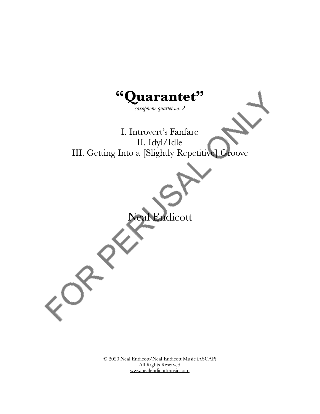

*saxophone quartet no. 2* 

I. Introvert's Fanfare II. Idyl/Idle III. Getting Into a [Slightly Repetitive] Groove

eal Endicott

© 2020 Neal Endicott/Neal Endicott Music (ASCAP) All Rights Reserved [www.nealendicottmusic.com](http://www.nealendicottmusic.com)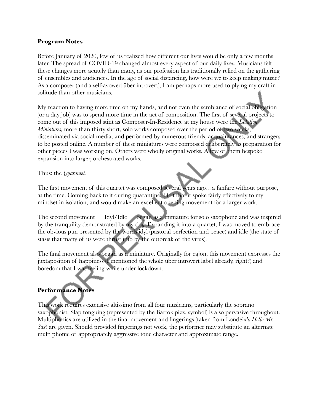#### **Program Notes**

Before January of 2020, few of us realized how different our lives would be only a few months later. The spread of COVID-19 changed almost every aspect of our daily lives. Musicians felt these changes more acutely than many, as our profession has traditionally relied on the gathering of ensembles and audiences. In the age of social distancing, how were we to keep making music? As a composer (and a self-avowed über introvert), I am perhaps more used to plying my craft in solitude than other musicians.

My reaction to having more time on my hands, and not even the semblance of social obligation (or a day job) was to spend more time in the act of composition. The first of several projects to come out of this imposed stint as Composer-In-Residence at my house were the *Isolation Miniatures,* more than thirty short, solo works composed over the period of two weeks, disseminated via social media, and performed by numerous friends, acquaintances, and strangers to be posted online. A number of these miniatures were composed deliberately as preparation for other pieces I was working on. Others were wholly original works. A few of them bespoke expansion into larger, orchestrated works.

Thus: the *Quarantet.* 

The first movement of this quartet was composed several years ago…a fanfare without purpose, at the time. Coming back to it during quarantine, I felt that it spoke fairly effectively to my mindset in isolation, and would make an excellent opening movement for a larger work.

The second movement  $-IdyI/Idle$   $-$  began as a miniature for solo saxophone and was inspired by the tranquility demonstrated by my dog. Expanding it into a quartet, I was moved to embrace the obvious pun presented by the words idyl (pastoral perfection and peace) and idle (the state of stasis that many of us were thrust into by the outbreak of the virus).

The final movement also began as a miniature. Originally for cajon, this movement expresses the juxtaposition of happiness (I mentioned the whole über introvert label already, right?) and boredom that I was feeling while under lockdown.

### **Performance Notes**

This work requires extensive altissimo from all four musicians, particularly the soprano saxophonist. Slap tonguing (represented by the Bartok pizz. symbol) is also pervasive throughout. Multiphonics are utilized in the final movement and fingerings (taken from Londeix's *Hello Mr. Sax*) are given. Should provided fingerings not work, the performer may substitute an alternate multi phonic of appropriately aggressive tone character and approximate range.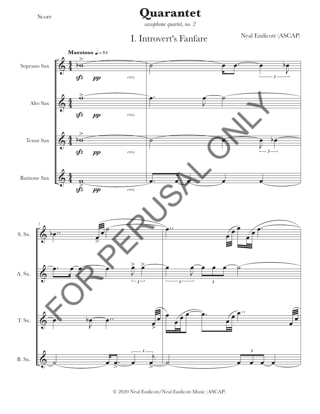#### Score

# **Quarantet**

*saxophone quartet, no. 2*

### I. Introvert's Fanfare

Neal Endicott (ASCAP)

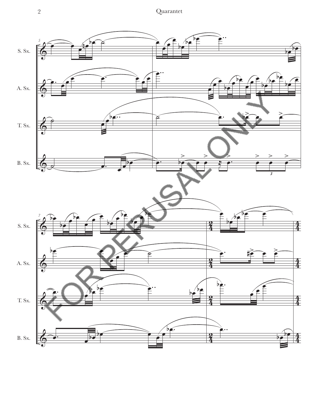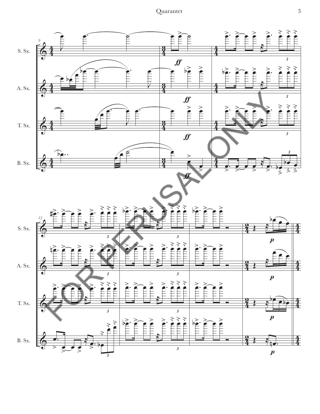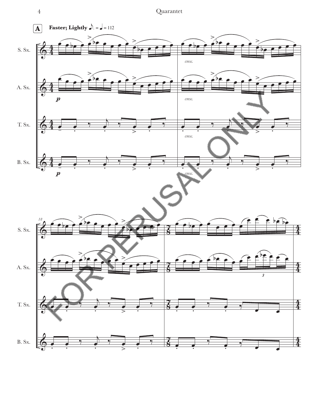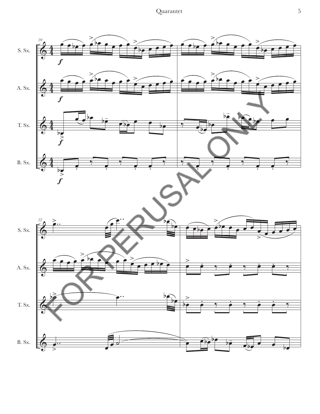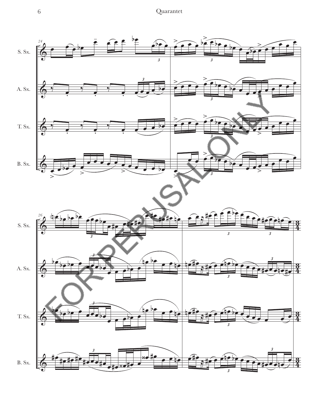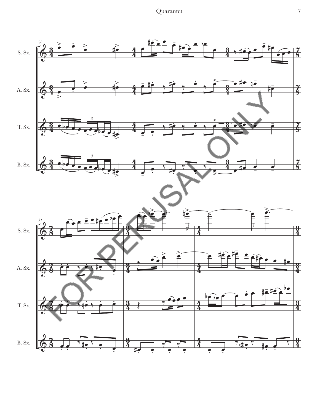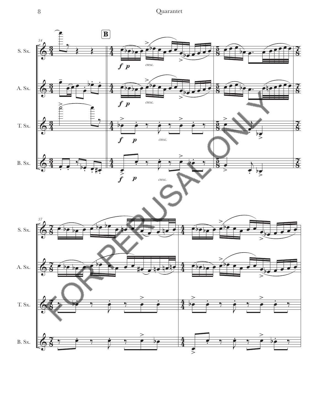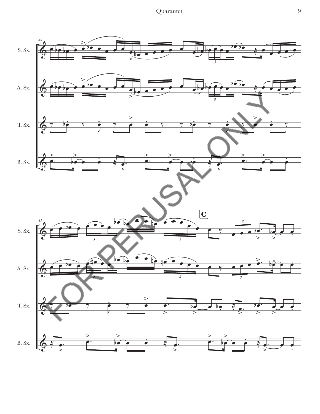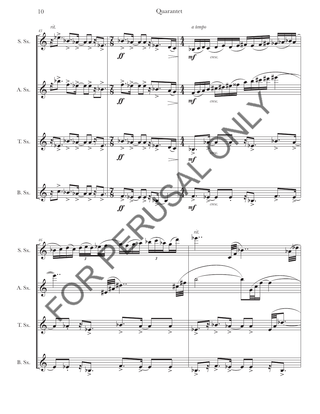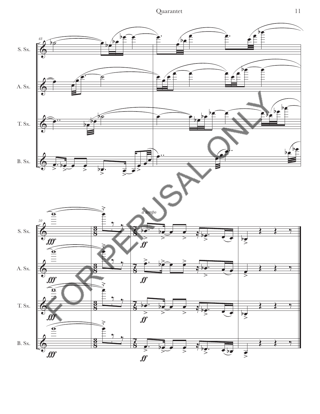![](_page_12_Figure_1.jpeg)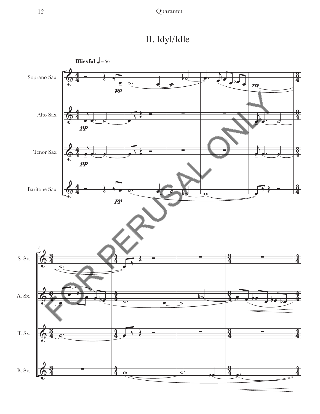![](_page_13_Figure_1.jpeg)

![](_page_13_Figure_2.jpeg)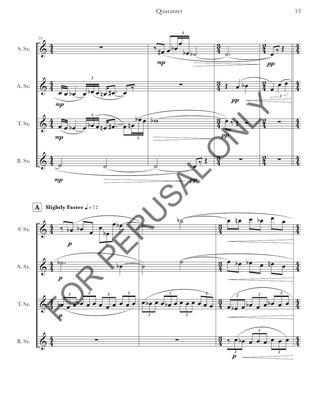![](_page_14_Figure_1.jpeg)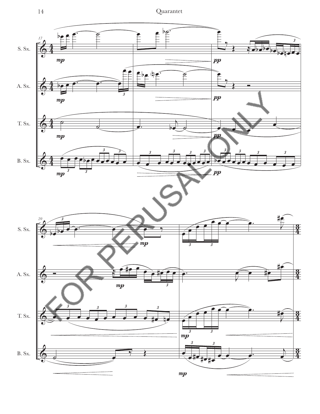![](_page_15_Figure_1.jpeg)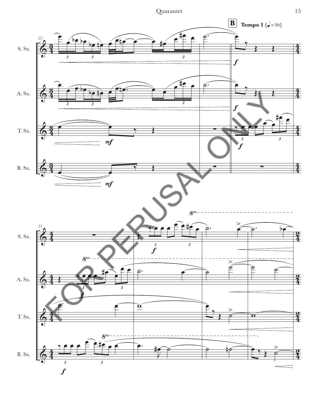![](_page_16_Figure_1.jpeg)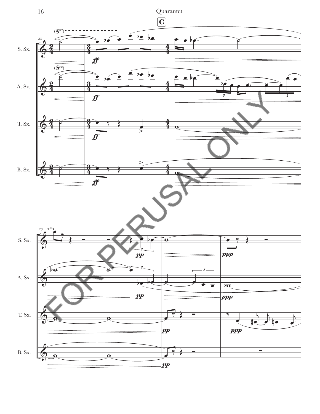![](_page_17_Figure_0.jpeg)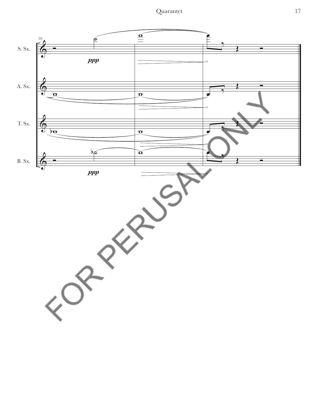![](_page_18_Figure_1.jpeg)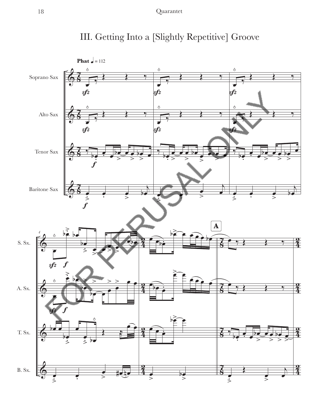![](_page_19_Figure_1.jpeg)

## III. Getting Into a [Slightly Repetitive] Groove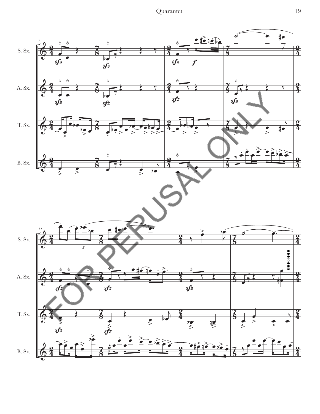![](_page_20_Figure_1.jpeg)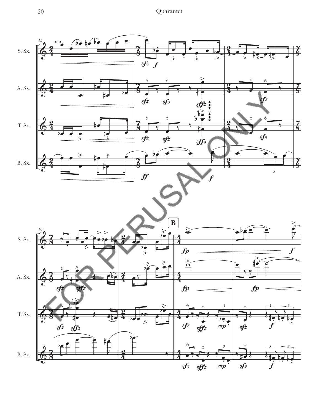![](_page_21_Figure_1.jpeg)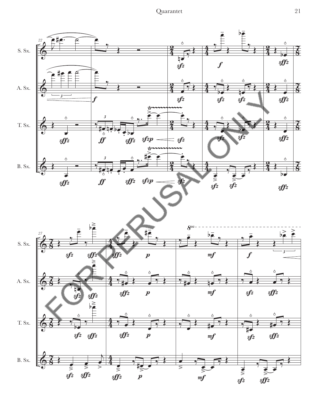![](_page_22_Figure_1.jpeg)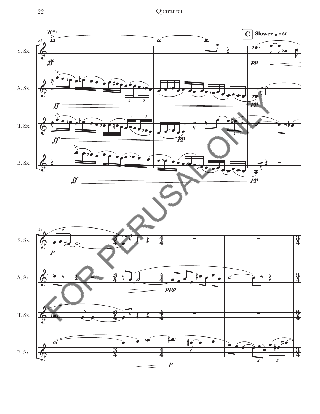![](_page_23_Figure_1.jpeg)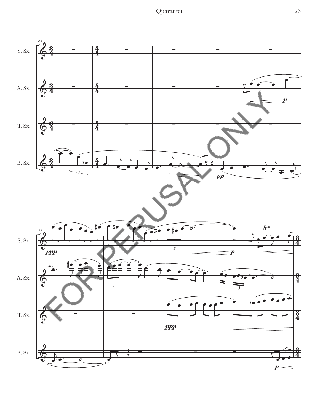![](_page_24_Figure_1.jpeg)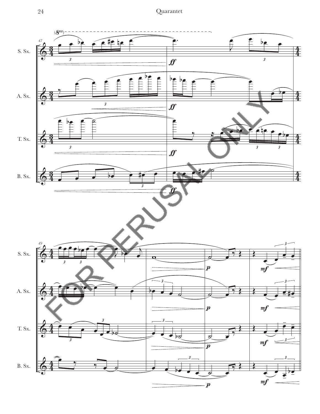![](_page_25_Figure_1.jpeg)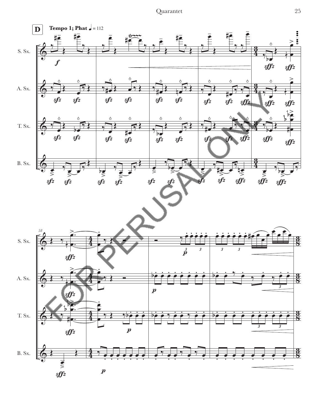![](_page_26_Figure_1.jpeg)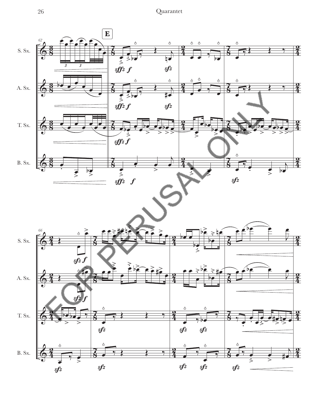![](_page_27_Figure_1.jpeg)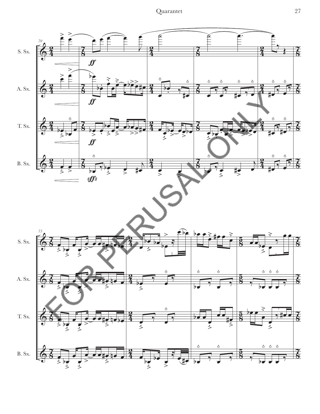![](_page_28_Figure_1.jpeg)